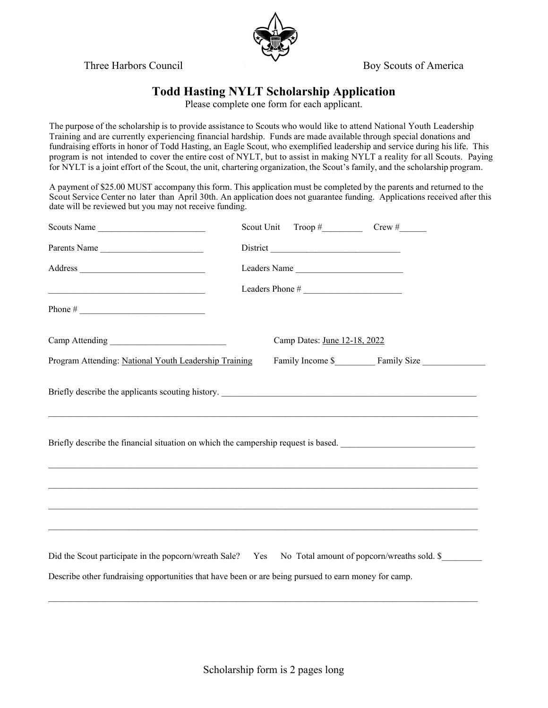Three Harbors Council **Boy Scouts of America** 



## **Todd Hasting NYLT Scholarship Application**

Please complete one form for each applicant.

The purpose of the scholarship is to provide assistance to Scouts who would like to attend National Youth Leadership Training and are currently experiencing financial hardship. Funds are made available through special donations and fundraising efforts in honor of Todd Hasting, an Eagle Scout, who exemplified leadership and service during his life. This program is not intended to cover the entire cost of NYLT, but to assist in making NYLT a reality for all Scouts. Paying for NYLT is a joint effort of the Scout, the unit, chartering organization, the Scout's family, and the scholarship program.

A payment of \$25.00 MUST accompany this form. This application must be completed by the parents and returned to the Scout Service Center no later than April 30th. An application does not guarantee funding. Applications received after this date will be reviewed but you may not receive funding.

| Scouts Name                                                                                                                                                                                                                                                                                                                                                      | Scout Unit $\text{Trop}\; \#$ Crew $\#$ Crew $\#$ |  |
|------------------------------------------------------------------------------------------------------------------------------------------------------------------------------------------------------------------------------------------------------------------------------------------------------------------------------------------------------------------|---------------------------------------------------|--|
| Parents Name                                                                                                                                                                                                                                                                                                                                                     |                                                   |  |
|                                                                                                                                                                                                                                                                                                                                                                  | Leaders Name                                      |  |
|                                                                                                                                                                                                                                                                                                                                                                  | Leaders Phone #                                   |  |
|                                                                                                                                                                                                                                                                                                                                                                  |                                                   |  |
|                                                                                                                                                                                                                                                                                                                                                                  | Camp Dates: June 12-18, 2022                      |  |
| Program Attending: National Youth Leadership Training                                                                                                                                                                                                                                                                                                            |                                                   |  |
| Briefly describe the financial situation on which the campership request is based.                                                                                                                                                                                                                                                                               |                                                   |  |
| ,我们也不能在这里的时候,我们也不能在这里的时候,我们也不能会不能会不能会不能会不能会不能会不能会不能会不能会不能会。""我们的是我们的,我们也不能会不能会不能                                                                                                                                                                                                                                                                                 |                                                   |  |
| ,我们也不能在这里的时候,我们也不能在这里的时候,我们也不能会不能会不能会不能会不能会不能会不能会不能会不能会不能会。<br>第2012章 我们的时候,我们的时候,我们的时候,我们的时候,我们的时候,我们的时候,我们的时候,我们的时候,我们的时候,我们的时候,我们的时候,我们的时候,我<br>Did the Scout participate in the popcorn/wreath Sale? Yes No Total amount of popcorn/wreaths sold. \$<br>Describe other fundraising opportunities that have been or are being pursued to earn money for camp. |                                                   |  |

 $\mathcal{L}_\mathcal{L} = \mathcal{L}_\mathcal{L} = \mathcal{L}_\mathcal{L} = \mathcal{L}_\mathcal{L} = \mathcal{L}_\mathcal{L} = \mathcal{L}_\mathcal{L} = \mathcal{L}_\mathcal{L} = \mathcal{L}_\mathcal{L} = \mathcal{L}_\mathcal{L} = \mathcal{L}_\mathcal{L} = \mathcal{L}_\mathcal{L} = \mathcal{L}_\mathcal{L} = \mathcal{L}_\mathcal{L} = \mathcal{L}_\mathcal{L} = \mathcal{L}_\mathcal{L} = \mathcal{L}_\mathcal{L} = \mathcal{L}_\mathcal{L}$